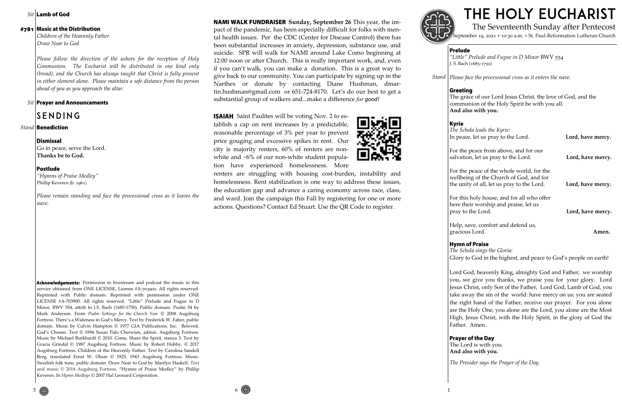**Sit Lamb of God** 

#### #781 Music at the Distribution

# THE HOLY EUCHARIST The Seventeenth Sunday after Pentecost

September 19, 2021 + 10:30 a.m. + St. Paul-Reformation Lutheran Church

## **Prelude**

*"Little" Prelude and Fugue in D Minor* BWV 554 J. S. Bach (1685-1750)

**Greeting** The grace of our Lord Jesus Christ, the love of God, and the communion of the Holy Spirit be with you all. **And also with you.**

**Kyrie** 

| The Schola leads the Kyrie:<br>In peace, let us pray to the Lord.                                                                  | Lord, have mercy. |
|------------------------------------------------------------------------------------------------------------------------------------|-------------------|
| For the peace from above, and for our<br>salvation, let us pray to the Lord.                                                       | Lord, have mercy. |
| For the peace of the whole world, for the<br>wellbeing of the Church of God, and for<br>the unity of all, let us pray to the Lord. | Lord, have mercy. |
| For this holy house, and for all who offer<br>here their worship and praise, let us<br>pray to the Lord.                           | Lord, have mercy. |
| Help, save, comfort and defend us,<br>gracious Lord.                                                                               | Amen.             |

### **Hymn of Praise**

*Please face the processional cross as it enters the nave. Stand*

*The Schola sings the Gloria:* Glory to God in the highest, and peace to God's people on earth!

Lord God, heavenly King, almighty God and Father, we worship you, we give you thanks, we praise you for your glory. Lord Jesus Christ, only Son of the Father, Lord God, Lamb of God, you take away the sin of the world: have mercy on us; you are seated the right hand of the Father, receive our prayer. For you alone are the Holy One, you alone are the Lord, you alone are the Most High, Jesus Christ, with the Holy Spirit, in the glory of God the Father. Amen.

# **Prayer of the Day**

The Lord is with you. **And also with you.**

*The Presider says the Prayer of the Day.*

*Children of the Heavenly Father Draw Near to God* 

*Please follow the direction of the ushers for the reception of Holy Communion. The Eucharist will be distributed in one kind only (bread), and the Church has always taught that Christ is fully present in either element alone. Please maintain a safe distance from the person ahead of you as you approach the altar.*

*Sit* | Prayer and Announcements

# SENDING

*Stand* **Benediction** 

#### **Dismissal**

Go in peace, serve the Lord. **Thanks be to God.**

#### Postlude

*"Hymns of Praise Medley"* Phillip Keveren (b. 1961)

**NAMI WALK FUNDRAISER** Sunday, September 26 This year, the impact of the pandemic, has been especially difficult for folks with mental health issues. Per the CDC (Center for Disease Control) there has been substantial increases in anxiety, depression, substance use, and suicide. SPR will walk for NAMI around Lake Como beginning at 12:00 noon or after Church. This is really important work, and, even if you can't walk, you can make a donation. This is a great way to give back to our community. You can participate by signing up in the Narthex or donate by contacting Diane Hushman, dmartin.hushman@gmail.com or 651-724-8170. Let's do our best to get a substantial group of walkers and...make a difference *for good!*

*Please remain standing and face the processional cross as it leaves the nave.*

**ISAIAH** Saint Paulites will be voting Nov. 2 to establish a cap on rent increases by a predictable, reasonable percentage of 3% per year to prevent price gouging and excessive spikes in rent. Our city is majority renters, 60% of renters are nonwhite and ~6% of our non-white student population have experienced homelessness. More

service obtained from ONE LICENSE, License #A-703900. All rights reserved. Reprinted with Public domain. Reprinted with permission under ONE LICENSE #A-703900. All rights reserved. "Little" Prelude and Fugue in D Minor, BWV 554, attrib to J.S. Bach (1685-1750). Public domain. Psalm 54 by Mark Anderson. From *Psalm Settings for the Church Year* © 2008 Augsburg Fortress. There's a Wideness in God's Mercy. Text by Frederick W. Faber, public domain. Music by Calvin Hampton © 1977 GIA Publications, Inc. Beloved, God's Chosen. Text © 1994 Susan Palo Cherwien, admin. Augsburg Fortress. Music by Michael Burkhardt © 2010. Come, Share the Spirit, stanza 3. Text by Gracia Grindal © 1987 Augsburg Fortress. Music by Robert Hobby, © 2017 Augsburg Fortress. Children of the Heavenly Father. Text by Carolina Sandell Berg, translated Ernst W. Olson © 1925, 1943 Augsburg Fortress. Music: Swedish folk tune, public domain. Draw Near to God by Marilyn Haskell. Text and music © 2018 Augsburg Fortress. "Hymns of Praise Medley" by Phillip Keveren. In *Hymn Medleys* © 2007 Hal Leonard Corporation.

Acknowledgements: Permission to livestream and podcast the music in this



renters are struggling with housing cost-burden, instability and homelessness. Rent stabilization is one way to address these issues, the education gap and advance a caring economy across race, class, and ward. Join the campaign this Fall by registering for one or more actions. Questions? Contact Ed Stuart. Use the QR Code to register.